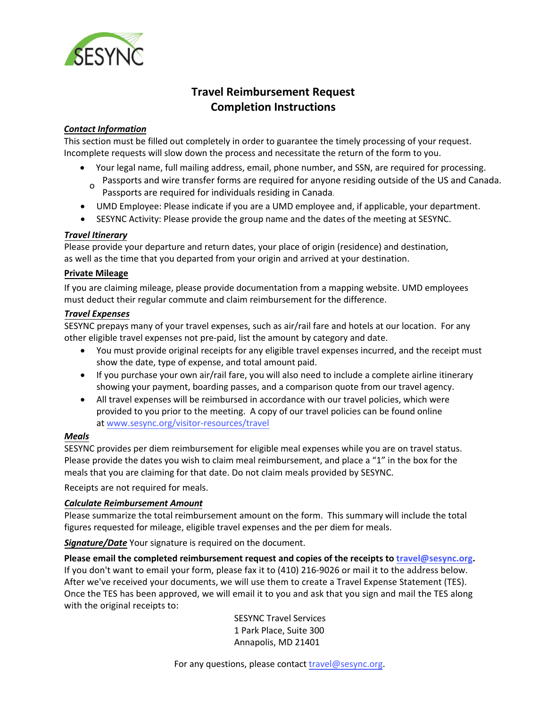

# **Travel Reimbursement Request Completion Instructions**

## *Contact Information*

This section must be filled out completely in order to guarantee the timely processing of your request. Incomplete requests will slow down the process and necessitate the return of the form to you.

- Your legal name, full mailing address, email, phone number, and SSN, are required for processing. Passports and wire transfer forms are required for anyone residing outside of the US and Canada. o
- Passports are required for individuals residing in Canada.
- UMD Employee: Please indicate if you are a UMD employee and, if applicable, your department.
- SESYNC Activity: Please provide the group name and the dates of the meeting at SESYNC.

## *Travel Itinerary*

Please provide your departure and return dates, your place of origin (residence) and destination, as well as the time that you departed from your origin and arrived at your destination.

### **Private Mileage**

If you are claiming mileage, please provide documentation from a mapping website. UMD employees must deduct their regular commute and claim reimbursement for the difference.

### *Travel Expenses*

SESYNC prepays many of your travel expenses, such as air/rail fare and hotels at our location. For any other eligible travel expenses not pre-paid, list the amount by category and date.

- You must provide original receipts for any eligible travel expenses incurred, and the receipt must show the date, type of expense, and total amount paid.
- If you purchase your own air/rail fare, you will also need to include a complete airline itinerary showing your payment, boarding passes, and a comparison quote from our travel agency.
- All travel expenses will be reimbursed in accordance with our travel policies, which were provided to you prior to the meeting. A copy of our travel policies can be found online at [www.sesync.org/visitor-res](http://www.sesync.org/travel)[ources/travel](https://www.sesync.org/visitor-resources/travel)

## *Meals*

SESYNC provides per diem reimbursement for eligible meal expenses while you are on travel status. Please provide the dates you wish to claim meal reimbursement, and place a "1" in the box for the meals that you are claiming for that date. Do not claim meals provided by SESYNC.

Receipts are not required for meals.

## *Calculate Reimbursement Amount*

Please summarize the total reimbursement amount on the form. This summary will include the total figures requested for mileage, eligible travel expenses and the per diem for meals.

*Signature/Date* Your signature is required on the document.

**Please email the completed reimbursement request and copies of the receipts to travel@sesync.org.** If you don't want to email your form, please fax it to (410) 216-9026 or mail it to the address below. After we've received your documents, we will use them to create a Travel Expense Statement (TES). Once the TES has been approved, we will email it to you and ask that you sign and mail the TES along with the original receipts to:

> SESYNC Travel Services 1 Park Place, Suite 300 [Annapolis](mailto:travel@sesync.org), MD 21401

For any questions, please contact travel@sesync.org.